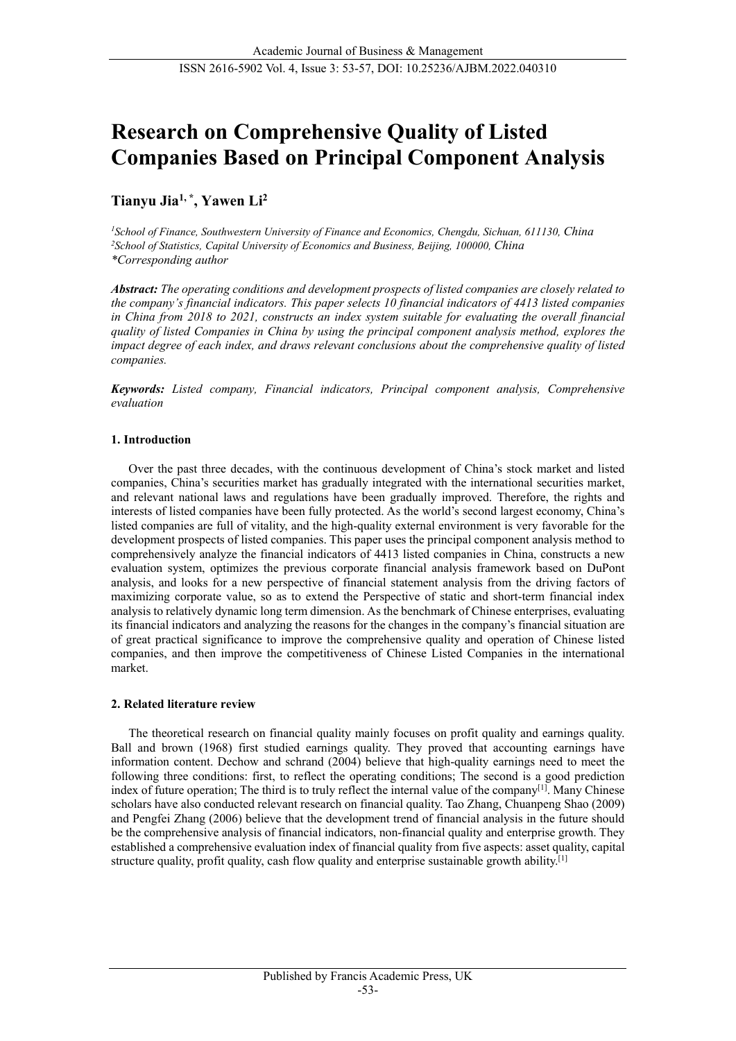# **Research on Comprehensive Quality of Listed Companies Based on Principal Component Analysis**

## **Tianyu Jia1, \*, Yawen Li2**

*1School of Finance, Southwestern University of Finance and Economics, Chengdu, Sichuan, 611130, China 2School of Statistics, Capital University of Economics and Business, Beijing, 100000, China \*Corresponding author*

*Abstract: The operating conditions and development prospects of listed companies are closely related to the company's financial indicators. This paper selects 10 financial indicators of 4413 listed companies in China from 2018 to 2021, constructs an index system suitable for evaluating the overall financial quality of listed Companies in China by using the principal component analysis method, explores the impact degree of each index, and draws relevant conclusions about the comprehensive quality of listed companies.*

*Keywords: Listed company, Financial indicators, Principal component analysis, Comprehensive evaluation*

## **1. Introduction**

Over the past three decades, with the continuous development of China's stock market and listed companies, China's securities market has gradually integrated with the international securities market, and relevant national laws and regulations have been gradually improved. Therefore, the rights and interests of listed companies have been fully protected. As the world's second largest economy, China's listed companies are full of vitality, and the high-quality external environment is very favorable for the development prospects of listed companies. This paper uses the principal component analysis method to comprehensively analyze the financial indicators of 4413 listed companies in China, constructs a new evaluation system, optimizes the previous corporate financial analysis framework based on DuPont analysis, and looks for a new perspective of financial statement analysis from the driving factors of maximizing corporate value, so as to extend the Perspective of static and short-term financial index analysis to relatively dynamic long term dimension. As the benchmark of Chinese enterprises, evaluating its financial indicators and analyzing the reasons for the changes in the company's financial situation are of great practical significance to improve the comprehensive quality and operation of Chinese listed companies, and then improve the competitiveness of Chinese Listed Companies in the international market.

## **2. Related literature review**

The theoretical research on financial quality mainly focuses on profit quality and earnings quality. Ball and brown (1968) first studied earnings quality. They proved that accounting earnings have information content. Dechow and schrand (2004) believe that high-quality earnings need to meet the following three conditions: first, to reflect the operating conditions; The second is a good prediction index of future operation; The third is to truly reflect the internal value of the company<sup>[1]</sup>. Many Chinese scholars have also conducted relevant research on financial quality. Tao Zhang, Chuanpeng Shao (2009) and Pengfei Zhang (2006) believe that the development trend of financial analysis in the future should be the comprehensive analysis of financial indicators, non-financial quality and enterprise growth. They established a comprehensive evaluation index of financial quality from five aspects: asset quality, capital structure quality, profit quality, cash flow quality and enterprise sustainable growth ability.<sup>[1]</sup>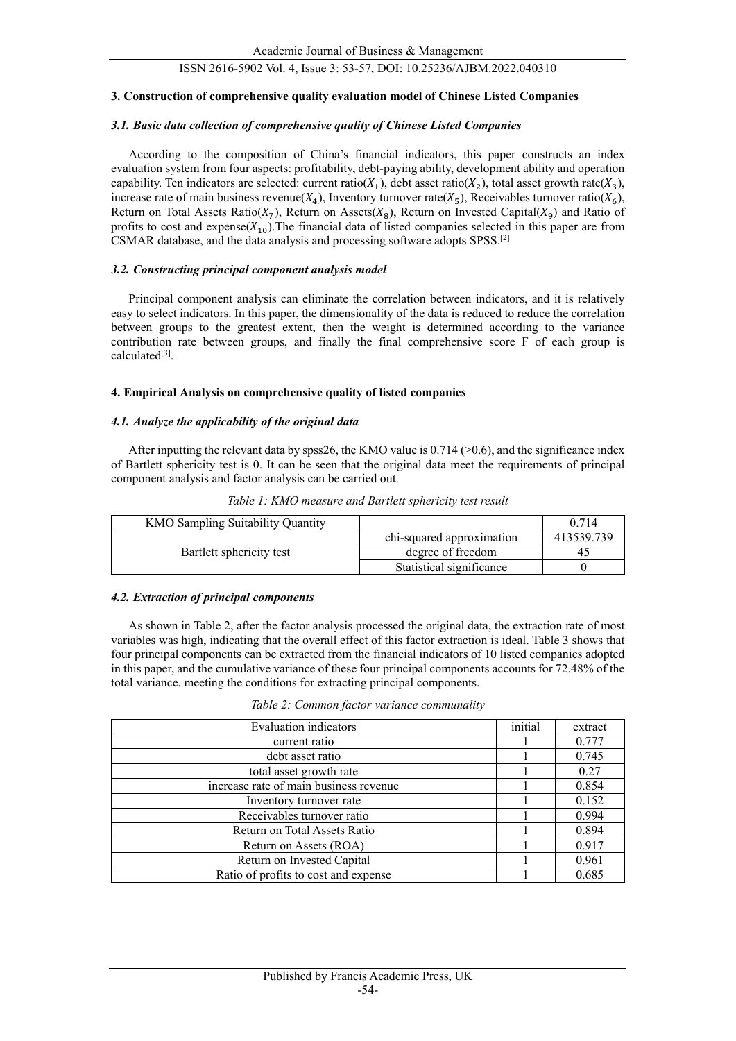#### **3. Construction of comprehensive quality evaluation model of Chinese Listed Companies**

#### *3.1. Basic data collection of comprehensive quality of Chinese Listed Companies*

According to the composition of China's financial indicators, this paper constructs an index evaluation system from four aspects: profitability, debt-paying ability, development ability and operation capability. Ten indicators are selected: current ratio( $X_1$ ), debt asset ratio( $X_2$ ), total asset growth rate( $X_3$ ), increase rate of main business revenue( $X_4$ ), Inventory turnover rate( $X_5$ ), Receivables turnover ratio( $X_6$ ), Return on Total Assets Ratio( $X_7$ ), Return on Assets( $X_8$ ), Return on Invested Capital( $X_9$ ) and Ratio of profits to cost and  $expense(X_{10})$ . The financial data of listed companies selected in this paper are from CSMAR database, and the data analysis and processing software adopts SPSS.[2]

#### *3.2. Constructing principal component analysis model*

Principal component analysis can eliminate the correlation between indicators, and it is relatively easy to select indicators. In this paper, the dimensionality of the data is reduced to reduce the correlation between groups to the greatest extent, then the weight is determined according to the variance contribution rate between groups, and finally the final comprehensive score F of each group is calculated<sup>[3]</sup>.

#### **4. Empirical Analysis on comprehensive quality of listed companies**

#### *4.1. Analyze the applicability of the original data*

After inputting the relevant data by spss26, the KMO value is  $0.714$  ( $> 0.6$ ), and the significance index of Bartlett sphericity test is 0. It can be seen that the original data meet the requirements of principal component analysis and factor analysis can be carried out.

| <b>KMO Sampling Suitability Quantity</b> |                           | 0.714      |
|------------------------------------------|---------------------------|------------|
|                                          | chi-squared approximation | 413539.739 |
| Bartlett sphericity test                 | degree of freedom         | 40         |
|                                          | Statistical significance  |            |

*Table 1: KMO measure and Bartlett sphericity test result*

#### *4.2. Extraction of principal components*

As shown in Table 2, after the factor analysis processed the original data, the extraction rate of most variables was high, indicating that the overall effect of this factor extraction is ideal. Table 3 shows that four principal components can be extracted from the financial indicators of 10 listed companies adopted in this paper, and the cumulative variance of these four principal components accounts for 72.48% of the total variance, meeting the conditions for extracting principal components.

|  |  | Table 2: Common factor variance communality |
|--|--|---------------------------------------------|
|  |  |                                             |

| <b>Evaluation</b> indicators           | initial | extract |
|----------------------------------------|---------|---------|
| current ratio                          |         | 0.777   |
| debt asset ratio                       |         | 0.745   |
| total asset growth rate                |         | 0.27    |
| increase rate of main business revenue |         | 0.854   |
| Inventory turnover rate                |         | 0.152   |
| Receivables turnover ratio             |         | 0.994   |
| Return on Total Assets Ratio           |         | 0.894   |
| Return on Assets (ROA)                 |         | 0.917   |
| Return on Invested Capital             |         | 0.961   |
| Ratio of profits to cost and expense   |         | 0.685   |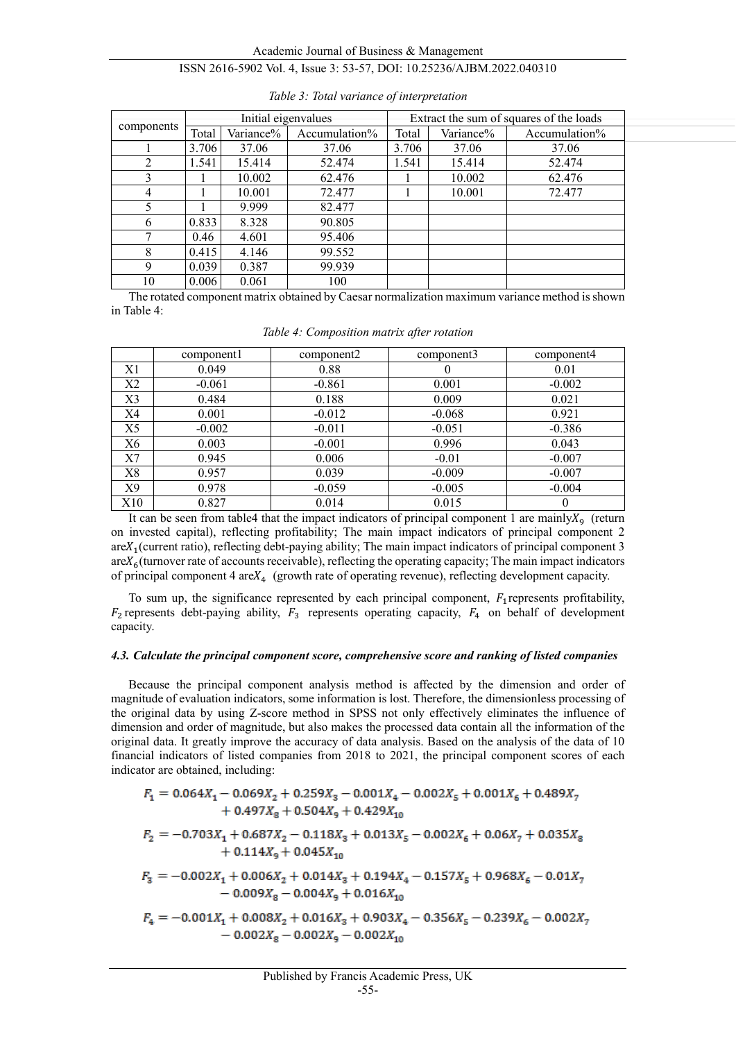|                | Initial eigenvalues |           |               | Extract the sum of squares of the loads |           |               |  |
|----------------|---------------------|-----------|---------------|-----------------------------------------|-----------|---------------|--|
| components     | Total               | Variance% | Accumulation% | Total                                   | Variance% | Accumulation% |  |
|                | 3.706               | 37.06     | 37.06         | 3.706                                   | 37.06     | 37.06         |  |
| $\mathfrak{D}$ | 1.541               | 15.414    | 52.474        | 1.541                                   | 15.414    | 52.474        |  |
| 3              |                     | 10.002    | 62.476        |                                         | 10.002    | 62.476        |  |
| 4              |                     | 10.001    | 72.477        |                                         | 10.001    | 72.477        |  |
| 5              |                     | 9.999     | 82.477        |                                         |           |               |  |
| 6              | 0.833               | 8.328     | 90.805        |                                         |           |               |  |
| ┑              | 0.46                | 4.601     | 95.406        |                                         |           |               |  |
| 8              | 0.415               | 4.146     | 99.552        |                                         |           |               |  |
| 9              | 0.039               | 0.387     | 99.939        |                                         |           |               |  |
| 10             | 0.006               | 0.061     | 100           |                                         |           |               |  |

The rotated component matrix obtained by Caesar normalization maximum variance method is shown in Table 4:

|     | component1 | component2 | component3 | component4 |
|-----|------------|------------|------------|------------|
| X1  | 0.049      | 0.88       |            | 0.01       |
| X2  | $-0.061$   | $-0.861$   | 0.001      | $-0.002$   |
| X3  | 0.484      | 0.188      | 0.009      | 0.021      |
| X4  | 0.001      | $-0.012$   | $-0.068$   | 0.921      |
| X5  | $-0.002$   | $-0.011$   | $-0.051$   | $-0.386$   |
| X6  | 0.003      | $-0.001$   | 0.996      | 0.043      |
| X7  | 0.945      | 0.006      | $-0.01$    | $-0.007$   |
| X8  | 0.957      | 0.039      | $-0.009$   | $-0.007$   |
| X9  | 0.978      | $-0.059$   | $-0.005$   | $-0.004$   |
| X10 | 0.827      | 0.014      | 0.015      | 0          |

*Table 4: Composition matrix after rotation*

It can be seen from table4 that the impact indicators of principal component 1 are mainly $X_9$  (return on invested capital), reflecting profitability; The main impact indicators of principal component 2  $areX_1$ (current ratio), reflecting debt-paying ability; The main impact indicators of principal component 3  $\arctan X_6$ (turnover rate of accounts receivable), reflecting the operating capacity; The main impact indicators of principal component 4 are $X_4$  (growth rate of operating revenue), reflecting development capacity.

To sum up, the significance represented by each principal component,  $F_1$  represents profitability,  $F_2$  represents debt-paying ability,  $F_3$  represents operating capacity,  $F_4$  on behalf of development capacity.

## *4.3. Calculate the principal component score, comprehensive score and ranking of listed companies*

Because the principal component analysis method is affected by the dimension and order of magnitude of evaluation indicators, some information is lost. Therefore, the dimensionless processing of the original data by using Z-score method in SPSS not only effectively eliminates the influence of dimension and order of magnitude, but also makes the processed data contain all the information of the original data. It greatly improve the accuracy of data analysis. Based on the analysis of the data of 10 financial indicators of listed companies from 2018 to 2021, the principal component scores of each indicator are obtained, including:

| $F_1 = 0.064X_1 - 0.069X_2 + 0.259X_3 - 0.001X_4 - 0.002X_5 + 0.001X_6 + 0.489X_7$<br>$+0.497X_{\rm s} + 0.504X_{\rm s} + 0.429X_{\rm 10}$ |
|--------------------------------------------------------------------------------------------------------------------------------------------|
| $F_2 = -0.703X_1 + 0.687X_2 - 0.118X_3 + 0.013X_5 - 0.002X_6 + 0.06X_7 + 0.035X_8$<br>$+0.114X_{9}+0.045X_{10}$                            |
| $F_3 = -0.002X_1 + 0.006X_2 + 0.014X_3 + 0.194X_4 - 0.157X_5 + 0.968X_6 - 0.01X_7$<br>$-0.009X_{\rm g} - 0.004X_{\rm g} + 0.016X_{\rm 10}$ |
| $F_4 = -0.001X_1 + 0.008X_2 + 0.016X_3 + 0.903X_4 - 0.356X_5 - 0.239X_6 - 0.002X_7$<br>$-0.002X_0 - 0.002X_2 - 0.002X_{12}$                |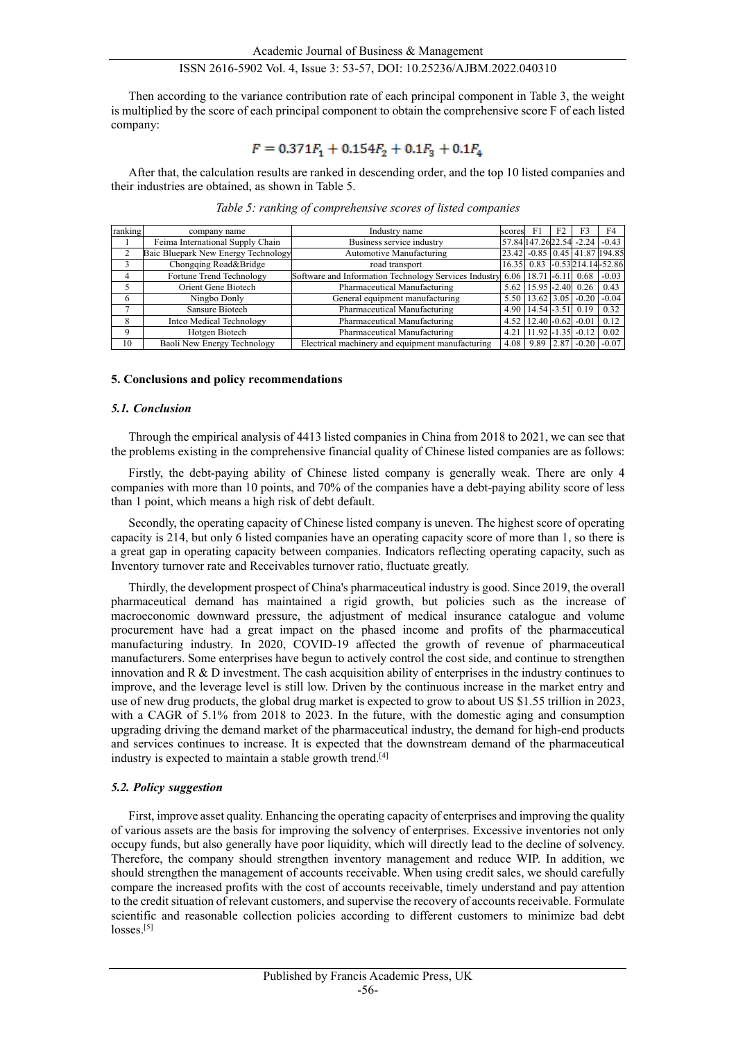Then according to the variance contribution rate of each principal component in Table 3, the weight is multiplied by the score of each principal component to obtain the comprehensive score F of each listed company:

## $F = 0.371F_1 + 0.154F_2 + 0.1F_3 + 0.1F_4$

After that, the calculation results are ranked in descending order, and the top 10 listed companies and their industries are obtained, as shown in Table 5.

| ranking | company name                        | Industry name                                                                 | scores | F1                             | F <sub>2</sub> |                         | F4                                  |
|---------|-------------------------------------|-------------------------------------------------------------------------------|--------|--------------------------------|----------------|-------------------------|-------------------------------------|
|         | Feima International Supply Chain    | Business service industry                                                     |        |                                |                |                         | 57.84 147.26 22.54 - 2.24 - 0.43    |
|         | Baic Bluepark New Energy Technology | Automotive Manufacturing                                                      |        |                                |                |                         | 23.42 -0.85 0.45 41.87 194.85       |
|         | Chongqing Road&Bridge               | road transport                                                                |        |                                |                |                         | 16.35 0.83 -0.53 214.14 - 52.86     |
| 4       | Fortune Trend Technology            | Software and Information Technology Services Industry 6.06   18.71 -6.11 0.68 |        |                                |                |                         | $-0.03$                             |
|         | Orient Gene Biotech                 | Pharmaceutical Manufacturing                                                  |        | 5.62 15.95 -2.40 0.26          |                |                         | 0.43                                |
| 6       | Ningbo Donly                        | General equipment manufacturing                                               |        |                                |                |                         | 5.50   13.62   3.05   -0.20   -0.04 |
|         | Sansure Biotech                     | Pharmaceutical Manufacturing                                                  |        | 4.90 14.54 - 3.51 0.19         |                |                         | 0.32                                |
| 8       | Inteo Medical Technology            | Pharmaceutical Manufacturing                                                  |        | $4.52$   12.40 $-0.62$ -0.01   |                |                         | 0.12                                |
| 9       | Hotgen Biotech                      | Pharmaceutical Manufacturing                                                  |        | $4.21$   11.92   -1.35   -0.12 |                |                         | 0.02                                |
| 10      | Baoli New Energy Technology         | Electrical machinery and equipment manufacturing                              | 4.08   |                                |                | $9.89$   2.87   $-0.20$ | $-0.07$                             |

*Table 5: ranking of comprehensive scores of listed companies*

#### **5. Conclusions and policy recommendations**

#### *5.1. Conclusion*

Through the empirical analysis of 4413 listed companies in China from 2018 to 2021, we can see that the problems existing in the comprehensive financial quality of Chinese listed companies are as follows:

Firstly, the debt-paying ability of Chinese listed company is generally weak. There are only 4 companies with more than 10 points, and 70% of the companies have a debt-paying ability score of less than 1 point, which means a high risk of debt default.

Secondly, the operating capacity of Chinese listed company is uneven. The highest score of operating capacity is 214, but only 6 listed companies have an operating capacity score of more than 1, so there is a great gap in operating capacity between companies. Indicators reflecting operating capacity, such as Inventory turnover rate and Receivables turnover ratio, fluctuate greatly.

Thirdly, the development prospect of China's pharmaceutical industry is good. Since 2019, the overall pharmaceutical demand has maintained a rigid growth, but policies such as the increase of macroeconomic downward pressure, the adjustment of medical insurance catalogue and volume procurement have had a great impact on the phased income and profits of the pharmaceutical manufacturing industry. In 2020, COVID-19 affected the growth of revenue of pharmaceutical manufacturers. Some enterprises have begun to actively control the cost side, and continue to strengthen innovation and R & D investment. The cash acquisition ability of enterprises in the industry continues to improve, and the leverage level is still low. Driven by the continuous increase in the market entry and use of new drug products, the global drug market is expected to grow to about US \$1.55 trillion in 2023, with a CAGR of 5.1% from 2018 to 2023. In the future, with the domestic aging and consumption upgrading driving the demand market of the pharmaceutical industry, the demand for high-end products and services continues to increase. It is expected that the downstream demand of the pharmaceutical industry is expected to maintain a stable growth trend.<sup>[4]</sup>

#### *5.2. Policy suggestion*

First, improve asset quality. Enhancing the operating capacity of enterprises and improving the quality of various assets are the basis for improving the solvency of enterprises. Excessive inventories not only occupy funds, but also generally have poor liquidity, which will directly lead to the decline of solvency. Therefore, the company should strengthen inventory management and reduce WIP. In addition, we should strengthen the management of accounts receivable. When using credit sales, we should carefully compare the increased profits with the cost of accounts receivable, timely understand and pay attention to the credit situation of relevant customers, and supervise the recovery of accounts receivable. Formulate scientific and reasonable collection policies according to different customers to minimize bad debt losses.<sup>[5]</sup>